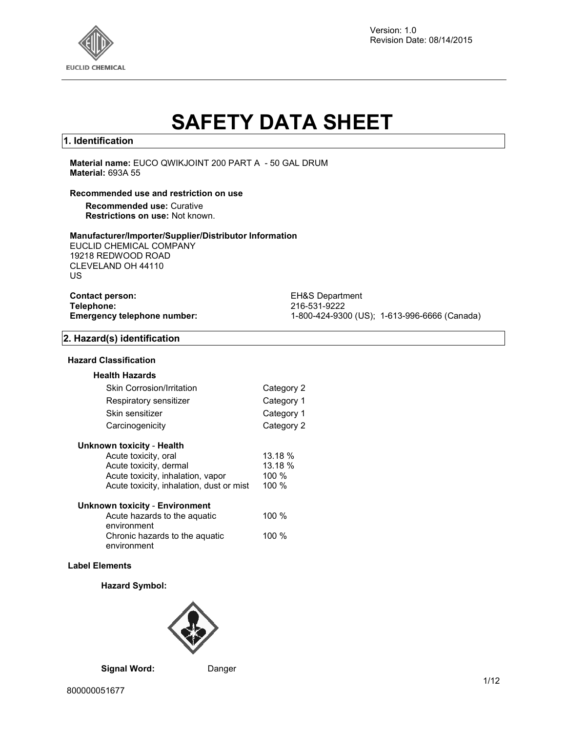

Version: 1.0 Revision Date: 08/14/2015

# **SAFETY DATA SHEET**

# **1. Identification**

**Material name:** EUCO QWIKJOINT 200 PART A - 50 GAL DRUM **Material:** 693A 55

#### **Recommended use and restriction on use**

**Recommended use:** Curative **Restrictions on use:** Not known.

#### **Manufacturer/Importer/Supplier/Distributor Information**

EUCLID CHEMICAL COMPANY 19218 REDWOOD ROAD CLEVELAND OH 44110 US

| <b>Contact person:</b>             |  |
|------------------------------------|--|
| Telephone:                         |  |
| <b>Emergency telephone number:</b> |  |

**EH&S Department Telephone:** 216-531-9222 **Emergency telephone number:** 1-800-424-9300 (US); 1-613-996-6666 (Canada)

# **2. Hazard(s) identification**

#### **Hazard Classification**

| <b>Health Hazards</b>            |            |
|----------------------------------|------------|
| <b>Skin Corrosion/Irritation</b> | Category 2 |
| Respiratory sensitizer           | Category 1 |
| Skin sensitizer                  | Category 1 |
| Carcinogenicity                  | Category 2 |

| Unknown toxicity - Health |  |  |
|---------------------------|--|--|
|                           |  |  |

| Acute toxicity, oral                     | 13.18 %  |
|------------------------------------------|----------|
| Acute toxicity, dermal                   | 13.18 %  |
| Acute toxicity, inhalation, vapor        | $100 \%$ |
| Acute toxicity, inhalation, dust or mist | 100%     |
|                                          |          |

| <b>Unknown toxicity - Environment</b> |         |
|---------------------------------------|---------|
| Acute hazards to the aguatic          | 100 $%$ |
| environment                           |         |
| Chronic hazards to the aquatic        | 100 $%$ |
| environment                           |         |

#### **Label Elements**

#### **Hazard Symbol:**



**Signal Word:** Danger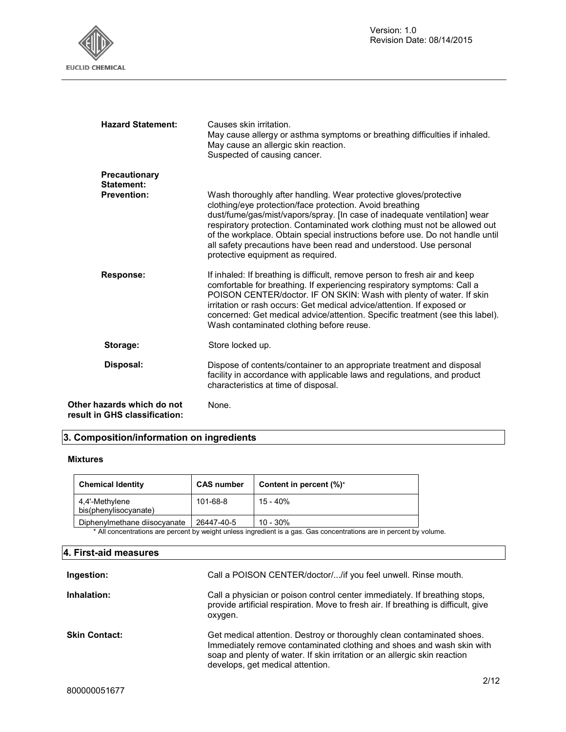

| <b>Hazard Statement:</b>                                    | Causes skin irritation.<br>May cause allergy or asthma symptoms or breathing difficulties if inhaled.<br>May cause an allergic skin reaction.<br>Suspected of causing cancer.                                                                                                                                                                                                                                                                                                        |  |
|-------------------------------------------------------------|--------------------------------------------------------------------------------------------------------------------------------------------------------------------------------------------------------------------------------------------------------------------------------------------------------------------------------------------------------------------------------------------------------------------------------------------------------------------------------------|--|
| Precautionary<br>Statement:                                 |                                                                                                                                                                                                                                                                                                                                                                                                                                                                                      |  |
| <b>Prevention:</b>                                          | Wash thoroughly after handling. Wear protective gloves/protective<br>clothing/eye protection/face protection. Avoid breathing<br>dust/fume/gas/mist/vapors/spray. [In case of inadequate ventilation] wear<br>respiratory protection. Contaminated work clothing must not be allowed out<br>of the workplace. Obtain special instructions before use. Do not handle until<br>all safety precautions have been read and understood. Use personal<br>protective equipment as required. |  |
| <b>Response:</b>                                            | If inhaled: If breathing is difficult, remove person to fresh air and keep<br>comfortable for breathing. If experiencing respiratory symptoms: Call a<br>POISON CENTER/doctor. IF ON SKIN: Wash with plenty of water. If skin<br>irritation or rash occurs: Get medical advice/attention. If exposed or<br>concerned: Get medical advice/attention. Specific treatment (see this label).<br>Wash contaminated clothing before reuse.                                                 |  |
| Storage:                                                    | Store locked up.                                                                                                                                                                                                                                                                                                                                                                                                                                                                     |  |
| Disposal:                                                   | Dispose of contents/container to an appropriate treatment and disposal<br>facility in accordance with applicable laws and regulations, and product<br>characteristics at time of disposal.                                                                                                                                                                                                                                                                                           |  |
| Other hazards which do not<br>result in GHS classification: | None.                                                                                                                                                                                                                                                                                                                                                                                                                                                                                |  |

# **3. Composition/information on ingredients**

# **Mixtures**

| <b>Chemical Identity</b>                                                                                            | <b>CAS number</b> | Content in percent (%)* |  |
|---------------------------------------------------------------------------------------------------------------------|-------------------|-------------------------|--|
| 4.4'-Methylene<br>bis(phenylisocyanate)                                                                             | 101-68-8          | 15 - 40%                |  |
| Diphenylmethane diisocyanate                                                                                        | 26447-40-5        | $10 - 30\%$             |  |
| * All concentrations are percent by weight unless ingredient is a gas. Gas concentrations are in percent by volume. |                   |                         |  |

# **4. First-aid measures**

| Ingestion:           | Call a POISON CENTER/doctor//if you feel unwell. Rinse mouth.                                                                                                                                                                                                    |
|----------------------|------------------------------------------------------------------------------------------------------------------------------------------------------------------------------------------------------------------------------------------------------------------|
| Inhalation:          | Call a physician or poison control center immediately. If breathing stops,<br>provide artificial respiration. Move to fresh air. If breathing is difficult, give<br>oxygen.                                                                                      |
| <b>Skin Contact:</b> | Get medical attention. Destroy or thoroughly clean contaminated shoes.<br>Immediately remove contaminated clothing and shoes and wash skin with<br>soap and plenty of water. If skin irritation or an allergic skin reaction<br>develops, get medical attention. |
|                      | 0110                                                                                                                                                                                                                                                             |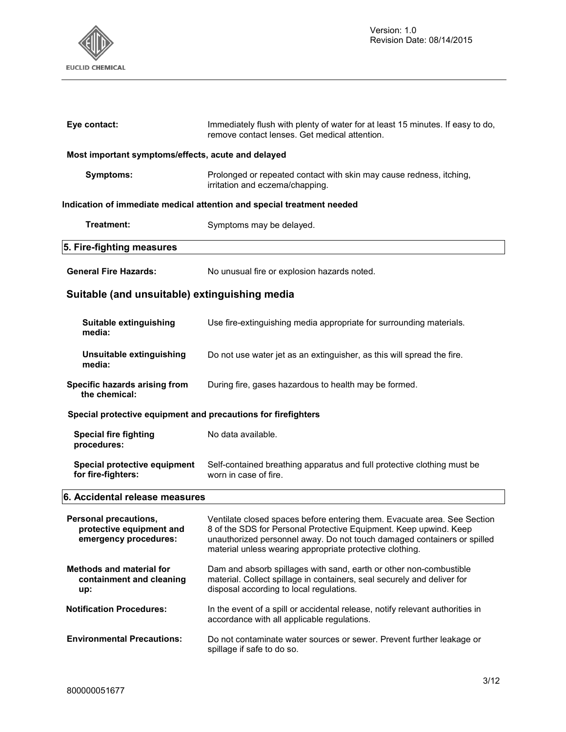

| Eye contact:                                                               | Immediately flush with plenty of water for at least 15 minutes. If easy to do,<br>remove contact lenses. Get medical attention.                                                                                                                                                      |  |  |
|----------------------------------------------------------------------------|--------------------------------------------------------------------------------------------------------------------------------------------------------------------------------------------------------------------------------------------------------------------------------------|--|--|
| Most important symptoms/effects, acute and delayed                         |                                                                                                                                                                                                                                                                                      |  |  |
| <b>Symptoms:</b>                                                           | Prolonged or repeated contact with skin may cause redness, itching,<br>irritation and eczema/chapping.                                                                                                                                                                               |  |  |
|                                                                            | Indication of immediate medical attention and special treatment needed                                                                                                                                                                                                               |  |  |
| Treatment:                                                                 | Symptoms may be delayed.                                                                                                                                                                                                                                                             |  |  |
| 5. Fire-fighting measures                                                  |                                                                                                                                                                                                                                                                                      |  |  |
| <b>General Fire Hazards:</b>                                               | No unusual fire or explosion hazards noted.                                                                                                                                                                                                                                          |  |  |
| Suitable (and unsuitable) extinguishing media                              |                                                                                                                                                                                                                                                                                      |  |  |
| Suitable extinguishing<br>media:                                           | Use fire-extinguishing media appropriate for surrounding materials.                                                                                                                                                                                                                  |  |  |
| Unsuitable extinguishing<br>media:                                         | Do not use water jet as an extinguisher, as this will spread the fire.                                                                                                                                                                                                               |  |  |
| Specific hazards arising from<br>the chemical:                             | During fire, gases hazardous to health may be formed.                                                                                                                                                                                                                                |  |  |
| Special protective equipment and precautions for firefighters              |                                                                                                                                                                                                                                                                                      |  |  |
| <b>Special fire fighting</b><br>procedures:                                | No data available.                                                                                                                                                                                                                                                                   |  |  |
| Special protective equipment<br>for fire-fighters:                         | Self-contained breathing apparatus and full protective clothing must be<br>worn in case of fire.                                                                                                                                                                                     |  |  |
| 6. Accidental release measures                                             |                                                                                                                                                                                                                                                                                      |  |  |
| Personal precautions,<br>protective equipment and<br>emergency procedures: | Ventilate closed spaces before entering them. Evacuate area. See Section<br>8 of the SDS for Personal Protective Equipment. Keep upwind. Keep<br>unauthorized personnel away. Do not touch damaged containers or spilled<br>material unless wearing appropriate protective clothing. |  |  |
| <b>Methods and material for</b><br>containment and cleaning<br>up:         | Dam and absorb spillages with sand, earth or other non-combustible<br>material. Collect spillage in containers, seal securely and deliver for<br>disposal according to local regulations.                                                                                            |  |  |
| <b>Notification Procedures:</b>                                            | In the event of a spill or accidental release, notify relevant authorities in<br>accordance with all applicable regulations.                                                                                                                                                         |  |  |
| <b>Environmental Precautions:</b>                                          | Do not contaminate water sources or sewer. Prevent further leakage or<br>spillage if safe to do so.                                                                                                                                                                                  |  |  |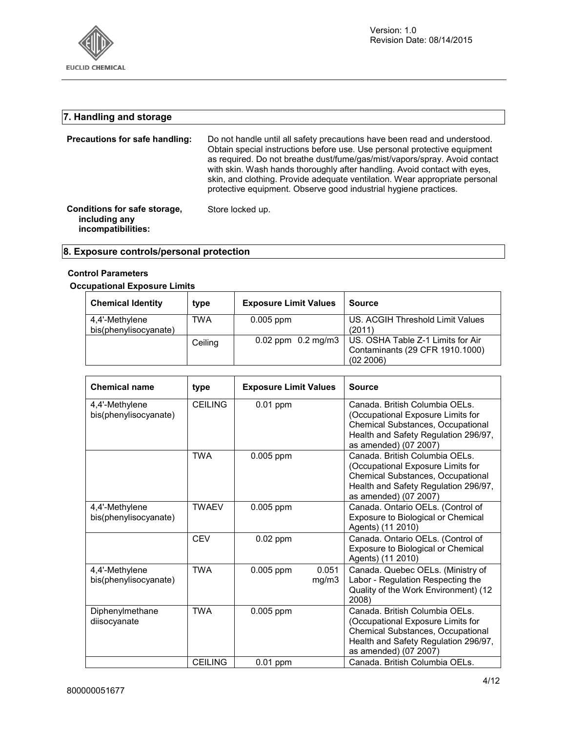

# **7. Handling and storage**

| Precautions for safe handling:                                      | Do not handle until all safety precautions have been read and understood.<br>Obtain special instructions before use. Use personal protective equipment<br>as required. Do not breathe dust/fume/gas/mist/vapors/spray. Avoid contact<br>with skin. Wash hands thoroughly after handling. Avoid contact with eyes,<br>skin, and clothing. Provide adequate ventilation. Wear appropriate personal<br>protective equipment. Observe good industrial hygiene practices. |  |  |  |
|---------------------------------------------------------------------|----------------------------------------------------------------------------------------------------------------------------------------------------------------------------------------------------------------------------------------------------------------------------------------------------------------------------------------------------------------------------------------------------------------------------------------------------------------------|--|--|--|
| Conditions for safe storage,<br>including any<br>incompatibilities: | Store locked up.                                                                                                                                                                                                                                                                                                                                                                                                                                                     |  |  |  |

# **8. Exposure controls/personal protection**

# **Control Parameters**

# **Occupational Exposure Limits**

| <b>Chemical Identity</b>                | type    | <b>Exposure Limit Values</b> | <b>Source</b>                                                                     |
|-----------------------------------------|---------|------------------------------|-----------------------------------------------------------------------------------|
| 4,4'-Methylene<br>bis(phenylisocyanate) | TWA     | $0.005$ ppm                  | US. ACGIH Threshold Limit Values<br>(2011)                                        |
|                                         | Ceiling | $0.02$ ppm $0.2$ mg/m3       | US. OSHA Table Z-1 Limits for Air<br>Contaminants (29 CFR 1910.1000)<br>(02 2006) |

| <b>Chemical name</b>                    | type           | <b>Exposure Limit Values</b> |                | <b>Source</b>                                                                                                                                                             |
|-----------------------------------------|----------------|------------------------------|----------------|---------------------------------------------------------------------------------------------------------------------------------------------------------------------------|
| 4,4'-Methylene<br>bis(phenylisocyanate) | <b>CEILING</b> | $0.01$ ppm                   |                | Canada. British Columbia OELs.<br>(Occupational Exposure Limits for<br>Chemical Substances, Occupational<br>Health and Safety Regulation 296/97,<br>as amended) (07 2007) |
|                                         | <b>TWA</b>     | 0.005 ppm                    |                | Canada. British Columbia OELs.<br>(Occupational Exposure Limits for<br>Chemical Substances, Occupational<br>Health and Safety Regulation 296/97,<br>as amended) (07 2007) |
| 4,4'-Methylene<br>bis(phenylisocyanate) | <b>TWAEV</b>   | 0.005 ppm                    |                | Canada. Ontario OELs. (Control of<br>Exposure to Biological or Chemical<br>Agents) (11 2010)                                                                              |
|                                         | <b>CEV</b>     | $0.02$ ppm                   |                | Canada. Ontario OELs. (Control of<br>Exposure to Biological or Chemical<br>Agents) (11 2010)                                                                              |
| 4,4'-Methylene<br>bis(phenylisocyanate) | <b>TWA</b>     | 0.005 ppm                    | 0.051<br>mg/m3 | Canada. Quebec OELs. (Ministry of<br>Labor - Regulation Respecting the<br>Quality of the Work Environment) (12<br>2008)                                                   |
| Diphenylmethane<br>diisocyanate         | <b>TWA</b>     | 0.005 ppm                    |                | Canada. British Columbia OELs.<br>(Occupational Exposure Limits for<br>Chemical Substances, Occupational<br>Health and Safety Regulation 296/97,<br>as amended) (07 2007) |
|                                         | <b>CEILING</b> | $0.01$ ppm                   |                | Canada. British Columbia OELs.                                                                                                                                            |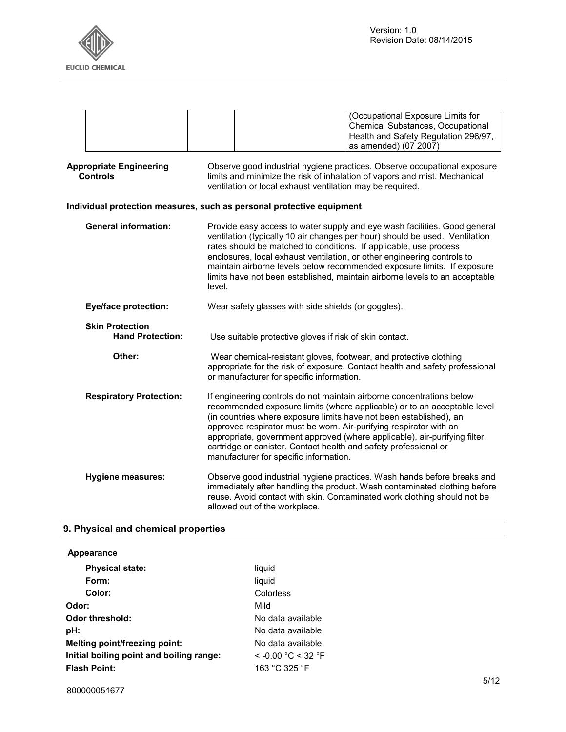

|                                                   |                                                   | (Occupational Exposure Limits for<br><b>Chemical Substances, Occupational</b><br>Health and Safety Regulation 296/97,<br>as amended) (07 2007)                                                                                                                                                                                                                                                                                                                                            |  |
|---------------------------------------------------|---------------------------------------------------|-------------------------------------------------------------------------------------------------------------------------------------------------------------------------------------------------------------------------------------------------------------------------------------------------------------------------------------------------------------------------------------------------------------------------------------------------------------------------------------------|--|
| <b>Appropriate Engineering</b><br><b>Controls</b> |                                                   | Observe good industrial hygiene practices. Observe occupational exposure<br>limits and minimize the risk of inhalation of vapors and mist. Mechanical<br>ventilation or local exhaust ventilation may be required.                                                                                                                                                                                                                                                                        |  |
|                                                   |                                                   | Individual protection measures, such as personal protective equipment                                                                                                                                                                                                                                                                                                                                                                                                                     |  |
| <b>General information:</b>                       |                                                   | Provide easy access to water supply and eye wash facilities. Good general<br>ventilation (typically 10 air changes per hour) should be used. Ventilation<br>rates should be matched to conditions. If applicable, use process<br>enclosures, local exhaust ventilation, or other engineering controls to<br>maintain airborne levels below recommended exposure limits. If exposure<br>limits have not been established, maintain airborne levels to an acceptable<br>level.              |  |
|                                                   | <b>Eye/face protection:</b>                       | Wear safety glasses with side shields (or goggles).                                                                                                                                                                                                                                                                                                                                                                                                                                       |  |
|                                                   | <b>Skin Protection</b><br><b>Hand Protection:</b> | Use suitable protective gloves if risk of skin contact.                                                                                                                                                                                                                                                                                                                                                                                                                                   |  |
|                                                   | Other:                                            | Wear chemical-resistant gloves, footwear, and protective clothing<br>appropriate for the risk of exposure. Contact health and safety professional<br>or manufacturer for specific information.                                                                                                                                                                                                                                                                                            |  |
|                                                   | <b>Respiratory Protection:</b>                    | If engineering controls do not maintain airborne concentrations below<br>recommended exposure limits (where applicable) or to an acceptable level<br>(in countries where exposure limits have not been established), an<br>approved respirator must be worn. Air-purifying respirator with an<br>appropriate, government approved (where applicable), air-purifying filter,<br>cartridge or canister. Contact health and safety professional or<br>manufacturer for specific information. |  |
|                                                   | <b>Hygiene measures:</b>                          | Observe good industrial hygiene practices. Wash hands before breaks and<br>immediately after handling the product. Wash contaminated clothing before<br>reuse. Avoid contact with skin. Contaminated work clothing should not be<br>allowed out of the workplace.                                                                                                                                                                                                                         |  |

# **9. Physical and chemical properties**

| Appearance |  |
|------------|--|
|------------|--|

| Form:<br>liquid                                                    |  |
|--------------------------------------------------------------------|--|
| Color:<br>Colorless                                                |  |
| Odor:<br>Mild                                                      |  |
| Odor threshold:<br>No data available.                              |  |
| pH:<br>No data available.                                          |  |
| Melting point/freezing point:<br>No data available.                |  |
| $<$ -0.00 °C $<$ 32 °F<br>Initial boiling point and boiling range: |  |
| <b>Flash Point:</b><br>163 °C 325 °F                               |  |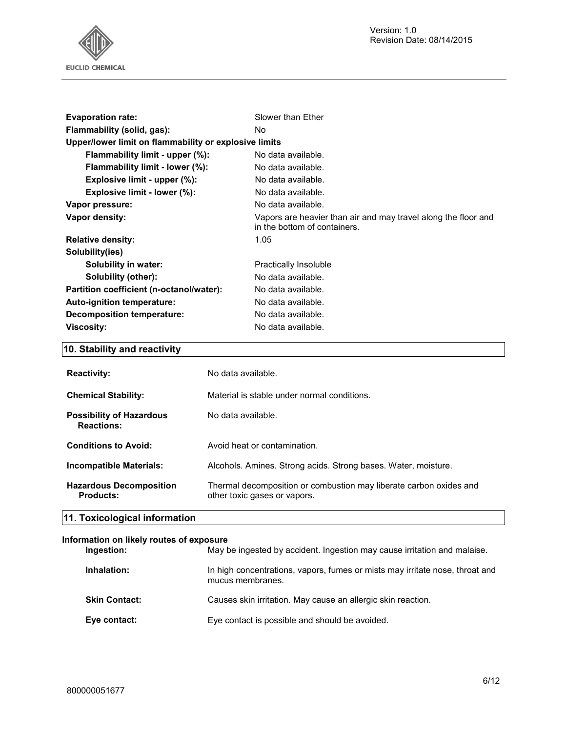Version: 1.0 Revision Date: 08/14/2015



| <b>Evaporation rate:</b>                              | Slower than Ether                                                                              |  |
|-------------------------------------------------------|------------------------------------------------------------------------------------------------|--|
| Flammability (solid, gas):                            | No.                                                                                            |  |
| Upper/lower limit on flammability or explosive limits |                                                                                                |  |
| Flammability limit - upper (%):                       | No data available.                                                                             |  |
| Flammability limit - lower (%):                       | No data available.                                                                             |  |
| Explosive limit - upper (%):                          | No data available.                                                                             |  |
| Explosive limit - lower (%):                          | No data available.                                                                             |  |
| Vapor pressure:                                       | No data available.                                                                             |  |
| Vapor density:                                        | Vapors are heavier than air and may travel along the floor and<br>in the bottom of containers. |  |
| <b>Relative density:</b>                              | 1.05                                                                                           |  |
| Solubility(ies)                                       |                                                                                                |  |
| Solubility in water:                                  | Practically Insoluble                                                                          |  |
| Solubility (other):                                   | No data available.                                                                             |  |
| Partition coefficient (n-octanol/water):              | No data available.                                                                             |  |
| Auto-ignition temperature:                            | No data available.                                                                             |  |
| <b>Decomposition temperature:</b>                     | No data available.                                                                             |  |
| <b>Viscosity:</b>                                     | No data available.                                                                             |  |

# **10. Stability and reactivity**

| <b>Reactivity:</b>                                   | No data available.                                                                                 |
|------------------------------------------------------|----------------------------------------------------------------------------------------------------|
| <b>Chemical Stability:</b>                           | Material is stable under normal conditions.                                                        |
| <b>Possibility of Hazardous</b><br><b>Reactions:</b> | No data available.                                                                                 |
| <b>Conditions to Avoid:</b>                          | Avoid heat or contamination.                                                                       |
| Incompatible Materials:                              | Alcohols. Amines. Strong acids. Strong bases. Water, moisture.                                     |
| <b>Hazardous Decomposition</b><br>Products:          | Thermal decomposition or combustion may liberate carbon oxides and<br>other toxic gases or vapors. |
| 11. Toxicological information                        |                                                                                                    |

# **Information on likely routes of exposure**

| Ingestion:           | May be ingested by accident. Ingestion may cause irritation and malaise.                         |
|----------------------|--------------------------------------------------------------------------------------------------|
| Inhalation:          | In high concentrations, vapors, fumes or mists may irritate nose, throat and<br>mucus membranes. |
| <b>Skin Contact:</b> | Causes skin irritation. May cause an allergic skin reaction.                                     |
| Eye contact:         | Eye contact is possible and should be avoided.                                                   |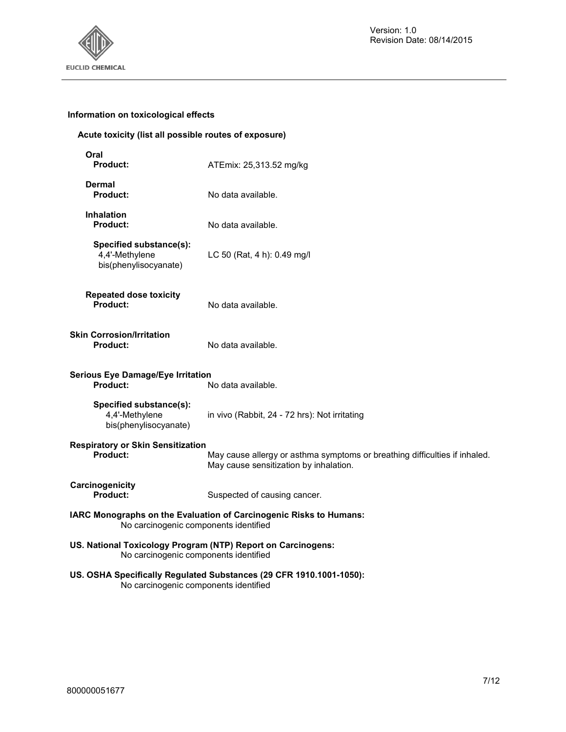

# **Information on toxicological effects**

# **Acute toxicity (list all possible routes of exposure)**

| Oral<br><b>Product:</b>                                                    | ATEmix: 25,313.52 mg/kg                                                                                              |
|----------------------------------------------------------------------------|----------------------------------------------------------------------------------------------------------------------|
| <b>Dermal</b><br><b>Product:</b>                                           | No data available.                                                                                                   |
| <b>Inhalation</b><br><b>Product:</b>                                       | No data available.                                                                                                   |
| Specified substance(s):<br>4,4'-Methylene<br>bis(phenylisocyanate)         | LC 50 (Rat, 4 h): 0.49 mg/l                                                                                          |
| <b>Repeated dose toxicity</b><br><b>Product:</b>                           | No data available.                                                                                                   |
| <b>Skin Corrosion/Irritation</b><br><b>Product:</b>                        | No data available.                                                                                                   |
| <b>Serious Eye Damage/Eye Irritation</b><br>Product:<br>No data available. |                                                                                                                      |
| Specified substance(s):<br>4,4'-Methylene<br>bis(phenylisocyanate)         | in vivo (Rabbit, 24 - 72 hrs): Not irritating                                                                        |
| <b>Respiratory or Skin Sensitization</b><br><b>Product:</b>                | May cause allergy or asthma symptoms or breathing difficulties if inhaled.<br>May cause sensitization by inhalation. |
| Carcinogenicity<br>Product:                                                | Suspected of causing cancer.                                                                                         |
| No carcinogenic components identified                                      | IARC Monographs on the Evaluation of Carcinogenic Risks to Humans:                                                   |
| No carcinogenic components identified                                      | US. National Toxicology Program (NTP) Report on Carcinogens:                                                         |
|                                                                            | US. OSHA Specifically Regulated Substances (29 CFR 1910.1001-1050):                                                  |

No carcinogenic components identified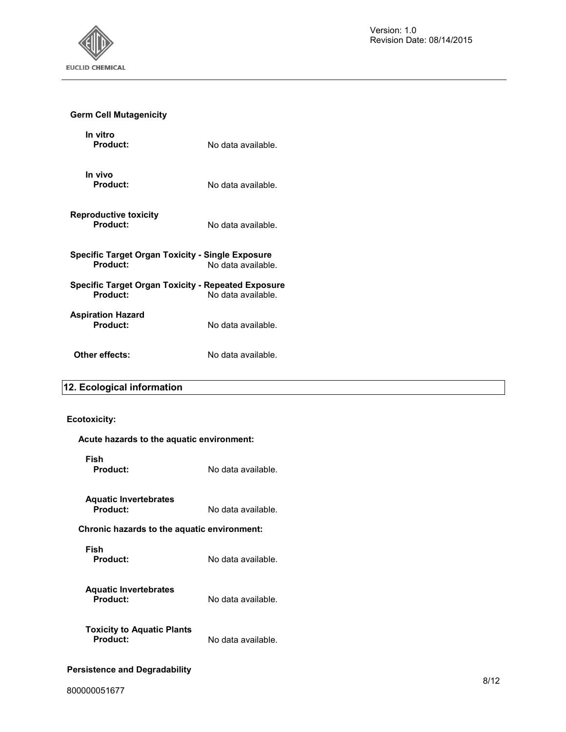

# **Germ Cell Mutagenicity**

| In vitro<br>Product:                                           | No data available. |
|----------------------------------------------------------------|--------------------|
| In vivo<br>Product:                                            | No data available. |
| <b>Reproductive toxicity</b><br>Product:                       | No data available. |
| Specific Target Organ Toxicity - Single Exposure<br>Product:   | No data available. |
| Specific Target Organ Toxicity - Repeated Exposure<br>Product: | No data available. |
| Aspiration Hazard<br>Product:                                  | No data available. |
| Other effects:                                                 | No data available. |

# **12. Ecological information**

# **Ecotoxicity:**

| Acute hazards to the aquatic environment:     |                    |  |
|-----------------------------------------------|--------------------|--|
| Fish<br>Product:                              | No data available. |  |
| <b>Aquatic Invertebrates</b><br>Product:      | No data available. |  |
| Chronic hazards to the aquatic environment:   |                    |  |
| Fish<br>Product:                              | No data available. |  |
| <b>Aquatic Invertebrates</b><br>Product:      | No data available. |  |
| <b>Toxicity to Aquatic Plants</b><br>Product: | No data available. |  |
|                                               |                    |  |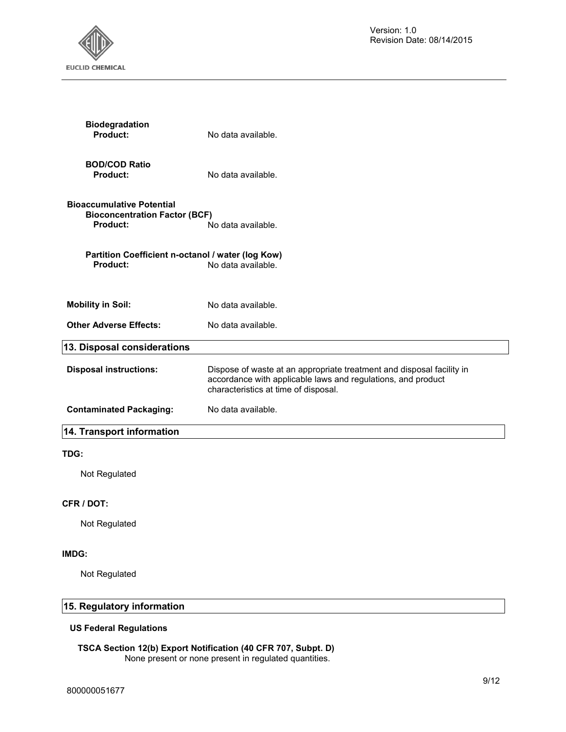

| <b>Biodegradation</b><br>Product:                                                           | No data available.                                                                                                                                                            |
|---------------------------------------------------------------------------------------------|-------------------------------------------------------------------------------------------------------------------------------------------------------------------------------|
| <b>BOD/COD Ratio</b><br><b>Product:</b>                                                     | No data available.                                                                                                                                                            |
| <b>Bioaccumulative Potential</b><br><b>Bioconcentration Factor (BCF)</b><br><b>Product:</b> | No data available.                                                                                                                                                            |
| Partition Coefficient n-octanol / water (log Kow)<br><b>Product:</b>                        | No data available.                                                                                                                                                            |
| <b>Mobility in Soil:</b>                                                                    | No data available.                                                                                                                                                            |
| <b>Other Adverse Effects:</b>                                                               | No data available.                                                                                                                                                            |
| 13. Disposal considerations                                                                 |                                                                                                                                                                               |
| <b>Disposal instructions:</b>                                                               | Dispose of waste at an appropriate treatment and disposal facility in<br>accordance with applicable laws and regulations, and product<br>characteristics at time of disposal. |
| <b>Contaminated Packaging:</b>                                                              | No data available.                                                                                                                                                            |
| 14. Transport information                                                                   |                                                                                                                                                                               |
| TDG:                                                                                        |                                                                                                                                                                               |
| Not Regulated                                                                               |                                                                                                                                                                               |
| CFR / DOT:                                                                                  |                                                                                                                                                                               |
| Not Regulated                                                                               |                                                                                                                                                                               |

# **IMDG:**

Not Regulated

# **15. Regulatory information**

# **US Federal Regulations**

#### **TSCA Section 12(b) Export Notification (40 CFR 707, Subpt. D)**  None present or none present in regulated quantities.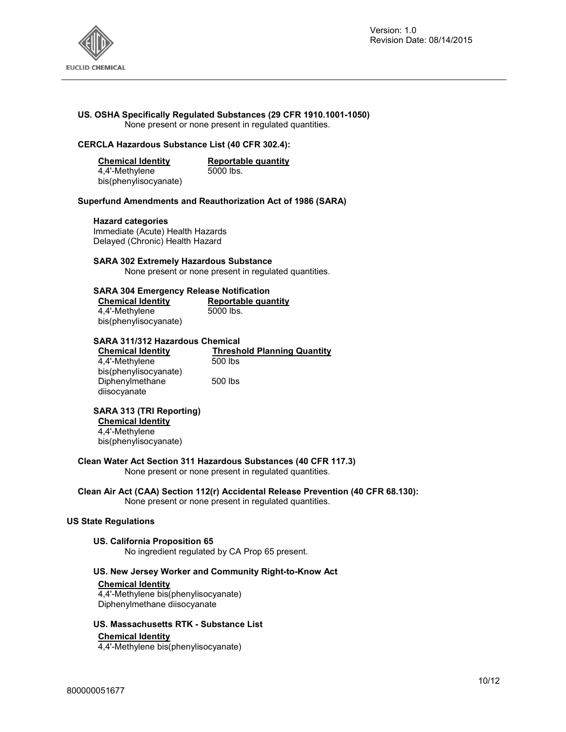

# **US. OSHA Specifically Regulated Substances (29 CFR 1910.1001-1050)**

None present or none present in regulated quantities.

# **CERCLA Hazardous Substance List (40 CFR 302.4):**

| <b>Chemical Identity</b> | Reportable quantity |
|--------------------------|---------------------|
| 4,4'-Methylene           | 5000 lbs.           |
| bis(phenylisocyanate)    |                     |

#### **Superfund Amendments and Reauthorization Act of 1986 (SARA)**

#### **Hazard categories**

Immediate (Acute) Health Hazards Delayed (Chronic) Health Hazard

#### **SARA 302 Extremely Hazardous Substance**

None present or none present in regulated quantities.

#### **SARA 304 Emergency Release Notification**

| <b>Chemical Identity</b> | Reportable quantity |
|--------------------------|---------------------|
| 4,4'-Methylene           | 5000 lbs.           |
| bis(phenylisocyanate)    |                     |

#### **SARA 311/312 Hazardous Chemical**

| <b>Chemical Identity</b> | <b>Threshold Planning Quantity</b> |
|--------------------------|------------------------------------|
| 4.4'-Methylene           | 500 lbs                            |
| bis(phenylisocyanate)    |                                    |
| Diphenylmethane          | 500 lbs                            |
| diisocyanate             |                                    |

# **SARA 313 (TRI Reporting)**

**Chemical Identity** 4,4'-Methylene

bis(phenylisocyanate)

# **Clean Water Act Section 311 Hazardous Substances (40 CFR 117.3)**

None present or none present in regulated quantities.

# **Clean Air Act (CAA) Section 112(r) Accidental Release Prevention (40 CFR 68.130):**

None present or none present in regulated quantities.

# **US State Regulations**

#### **US. California Proposition 65**

No ingredient regulated by CA Prop 65 present.

# **US. New Jersey Worker and Community Right-to-Know Act**

#### **Chemical Identity**

4,4'-Methylene bis(phenylisocyanate) Diphenylmethane diisocyanate

#### **US. Massachusetts RTK - Substance List**

#### **Chemical Identity**

4,4'-Methylene bis(phenylisocyanate)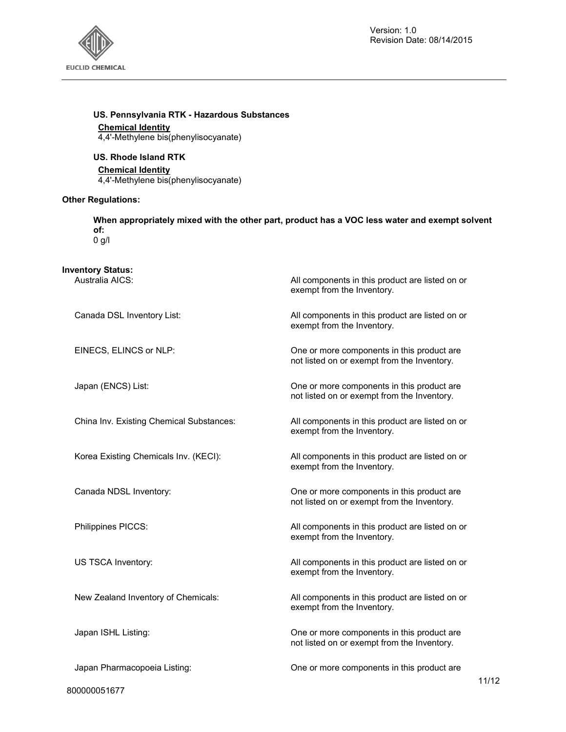

All components in this product are listed on or

not listed on or exempt from the Inventory.

not listed on or exempt from the Inventory.

not listed on or exempt from the Inventory.

not listed on or exempt from the Inventory.

exempt from the Inventory.

exempt from the Inventory.

exempt from the Inventory.

exempt from the Inventory.

exempt from the Inventory.

exempt from the Inventory.

exempt from the Inventory.

# **US. Pennsylvania RTK - Hazardous Substances**

# **Chemical Identity**

4,4'-Methylene bis(phenylisocyanate)

# **US. Rhode Island RTK**

#### **Chemical Identity**

4,4'-Methylene bis(phenylisocyanate)

#### **Other Regulations:**

**When appropriately mixed with the other part, product has a VOC less water and exempt solvent of:**   $0$  g/l

# **Inventory Status:**

Canada DSL Inventory List: All components in this product are listed on or

EINECS, ELINCS or NLP: One or more components in this product are

Japan (ENCS) List: One or more components in this product are

China Inv. Existing Chemical Substances: All components in this product are listed on or

Korea Existing Chemicals Inv. (KECI): All components in this product are listed on or

Canada NDSL Inventory: One or more components in this product are

Philippines PICCS: and the product are listed on or all components in this product are listed on or

US TSCA Inventory: example and the setting and the All components in this product are listed on or

New Zealand Inventory of Chemicals: All components in this product are listed on or

Japan ISHL Listing: One or more components in this product are

Japan Pharmacopoeia Listing: One or more components in this product are

800000051677